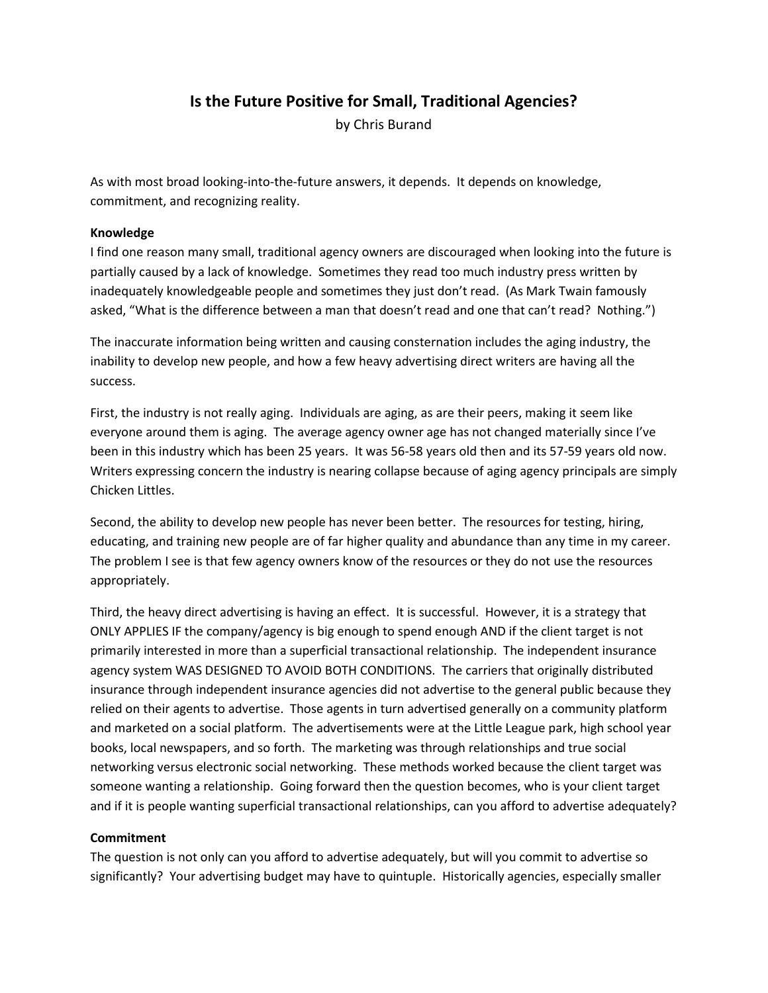## **Is the Future Positive for Small, Traditional Agencies?**

by Chris Burand

As with most broad looking-into-the-future answers, it depends. It depends on knowledge, commitment, and recognizing reality.

## **Knowledge**

I find one reason many small, traditional agency owners are discouraged when looking into the future is partially caused by a lack of knowledge. Sometimes they read too much industry press written by inadequately knowledgeable people and sometimes they just don't read. (As Mark Twain famously asked, "What is the difference between a man that doesn't read and one that can't read? Nothing.")

The inaccurate information being written and causing consternation includes the aging industry, the inability to develop new people, and how a few heavy advertising direct writers are having all the success.

First, the industry is not really aging. Individuals are aging, as are their peers, making it seem like everyone around them is aging. The average agency owner age has not changed materially since I've been in this industry which has been 25 years. It was 56-58 years old then and its 57-59 years old now. Writers expressing concern the industry is nearing collapse because of aging agency principals are simply Chicken Littles.

Second, the ability to develop new people has never been better. The resources for testing, hiring, educating, and training new people are of far higher quality and abundance than any time in my career. The problem I see is that few agency owners know of the resources or they do not use the resources appropriately.

Third, the heavy direct advertising is having an effect. It is successful. However, it is a strategy that ONLY APPLIES IF the company/agency is big enough to spend enough AND if the client target is not primarily interested in more than a superficial transactional relationship. The independent insurance agency system WAS DESIGNED TO AVOID BOTH CONDITIONS. The carriers that originally distributed insurance through independent insurance agencies did not advertise to the general public because they relied on their agents to advertise. Those agents in turn advertised generally on a community platform and marketed on a social platform. The advertisements were at the Little League park, high school year books, local newspapers, and so forth. The marketing was through relationships and true social networking versus electronic social networking. These methods worked because the client target was someone wanting a relationship. Going forward then the question becomes, who is your client target and if it is people wanting superficial transactional relationships, can you afford to advertise adequately?

## **Commitment**

The question is not only can you afford to advertise adequately, but will you commit to advertise so significantly? Your advertising budget may have to quintuple. Historically agencies, especially smaller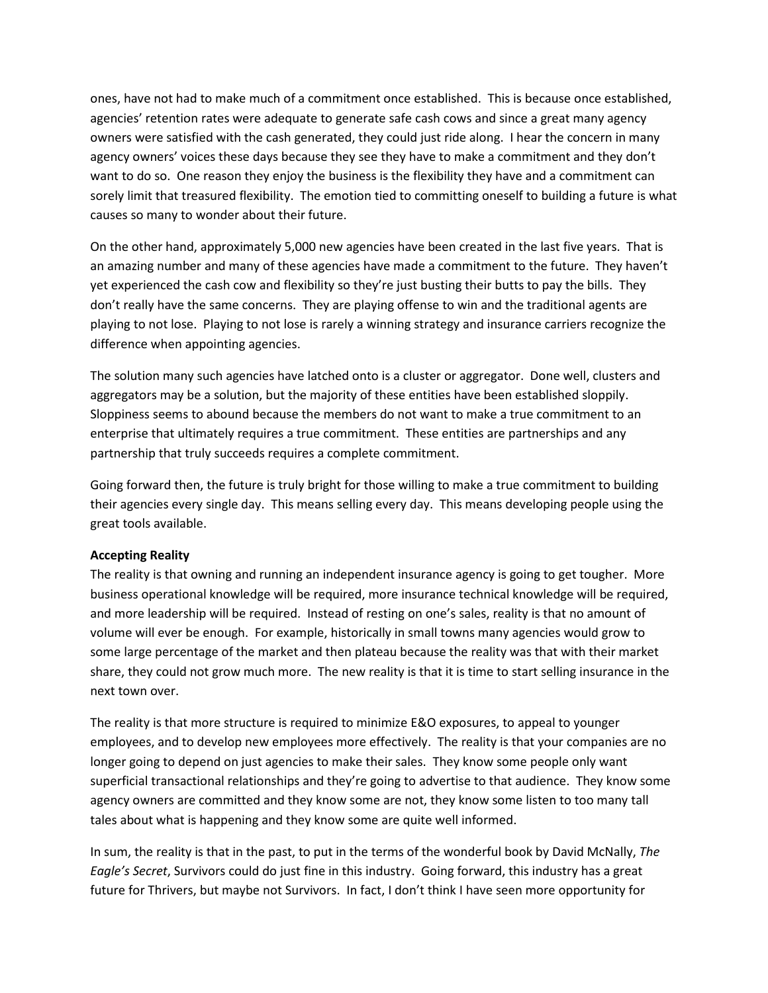ones, have not had to make much of a commitment once established. This is because once established, agencies' retention rates were adequate to generate safe cash cows and since a great many agency owners were satisfied with the cash generated, they could just ride along. I hear the concern in many agency owners' voices these days because they see they have to make a commitment and they don't want to do so. One reason they enjoy the business is the flexibility they have and a commitment can sorely limit that treasured flexibility. The emotion tied to committing oneself to building a future is what causes so many to wonder about their future.

On the other hand, approximately 5,000 new agencies have been created in the last five years. That is an amazing number and many of these agencies have made a commitment to the future. They haven't yet experienced the cash cow and flexibility so they're just busting their butts to pay the bills. They don't really have the same concerns. They are playing offense to win and the traditional agents are playing to not lose. Playing to not lose is rarely a winning strategy and insurance carriers recognize the difference when appointing agencies.

The solution many such agencies have latched onto is a cluster or aggregator. Done well, clusters and aggregators may be a solution, but the majority of these entities have been established sloppily. Sloppiness seems to abound because the members do not want to make a true commitment to an enterprise that ultimately requires a true commitment. These entities are partnerships and any partnership that truly succeeds requires a complete commitment.

Going forward then, the future is truly bright for those willing to make a true commitment to building their agencies every single day. This means selling every day. This means developing people using the great tools available.

## **Accepting Reality**

The reality is that owning and running an independent insurance agency is going to get tougher. More business operational knowledge will be required, more insurance technical knowledge will be required, and more leadership will be required. Instead of resting on one's sales, reality is that no amount of volume will ever be enough. For example, historically in small towns many agencies would grow to some large percentage of the market and then plateau because the reality was that with their market share, they could not grow much more. The new reality is that it is time to start selling insurance in the next town over.

The reality is that more structure is required to minimize E&O exposures, to appeal to younger employees, and to develop new employees more effectively. The reality is that your companies are no longer going to depend on just agencies to make their sales. They know some people only want superficial transactional relationships and they're going to advertise to that audience. They know some agency owners are committed and they know some are not, they know some listen to too many tall tales about what is happening and they know some are quite well informed.

In sum, the reality is that in the past, to put in the terms of the wonderful book by David McNally, *The Eagle's Secret*, Survivors could do just fine in this industry. Going forward, this industry has a great future for Thrivers, but maybe not Survivors. In fact, I don't think I have seen more opportunity for